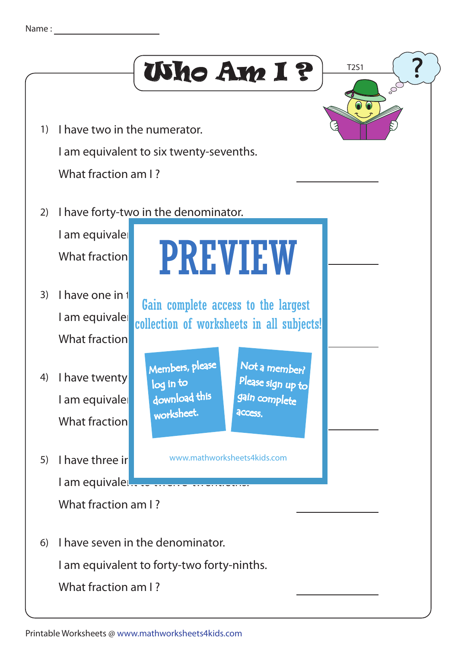